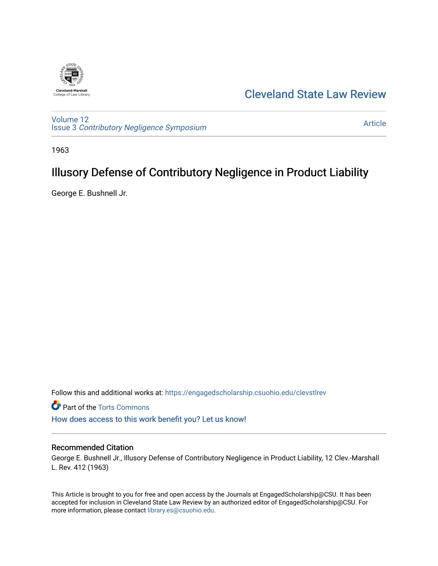

# [Cleveland State Law Review](https://engagedscholarship.csuohio.edu/clevstlrev)

[Volume 12](https://engagedscholarship.csuohio.edu/clevstlrev/vol12) Issue 3 [Contributory Negligence Symposium](https://engagedscholarship.csuohio.edu/clevstlrev/vol12/iss3)

[Article](https://engagedscholarship.csuohio.edu/clevstlrev/vol12/iss3/3) 

1963

# Illusory Defense of Contributory Negligence in Product Liability

George E. Bushnell Jr.

Follow this and additional works at: [https://engagedscholarship.csuohio.edu/clevstlrev](https://engagedscholarship.csuohio.edu/clevstlrev?utm_source=engagedscholarship.csuohio.edu%2Fclevstlrev%2Fvol12%2Fiss3%2F3&utm_medium=PDF&utm_campaign=PDFCoverPages)

Part of the [Torts Commons](http://network.bepress.com/hgg/discipline/913?utm_source=engagedscholarship.csuohio.edu%2Fclevstlrev%2Fvol12%2Fiss3%2F3&utm_medium=PDF&utm_campaign=PDFCoverPages)

[How does access to this work benefit you? Let us know!](http://library.csuohio.edu/engaged/)

### Recommended Citation

George E. Bushnell Jr., Illusory Defense of Contributory Negligence in Product Liability, 12 Clev.-Marshall L. Rev. 412 (1963)

This Article is brought to you for free and open access by the Journals at EngagedScholarship@CSU. It has been accepted for inclusion in Cleveland State Law Review by an authorized editor of EngagedScholarship@CSU. For more information, please contact [library.es@csuohio.edu](mailto:library.es@csuohio.edu).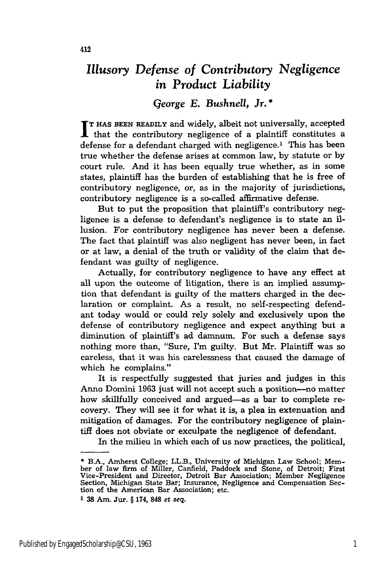## *Illusory Defense of Contributory Negligence in Product Liability*

### George *E. Bushnell, Jr. \**

**T HAS BEEN READILY** and widely, albeit not universally, accepted that the contributory negligence of a plaintiff constitutes a defense for a defendant charged with negligence.<sup>1</sup> This has been true whether the defense arises at common law, **by** statute or by court rule. And it has been equally true whether, as in some states, plaintiff has the burden of establishing that he is free of contributory negligence, or, as in the majority of jurisdictions, contributory negligence is a so-called affirmative defense.

But to put the proposition that plaintiff's contributory negligence is a defense to defendant's negligence is to state an **il**lusion. For contributory negligence has never been a defense. The fact that plaintiff was also negligent has never been, in fact or at law, a denial of the truth or validity of the claim that defendant was guilty of negligence.

Actually, for contributory negligence to have any effect at all upon the outcome of litigation, there is an implied assumption that defendant is guilty of the matters charged in the declaration or complaint. As a result, no self-respecting defendant today would or could rely solely and exclusively upon the defense of contributory negligence and expect anything but a diminution of plaintiff's ad **damnum.** For such a defense says nothing more than, "Sure, I'm guilty. But Mr. Plaintiff was so careless, that it was his carelessness that caused the damage of which he complains."

It is respectfully suggested that juries and judges in this Anno Domini **1963** just will not accept such a position-no matter how skillfully conceived and argued-as a bar to complete recovery. They will see it for what it is, a plea in extenuation and mitigation of damages. For the contributory negligence of plaintiff does not obviate or exculpate the negligence of defendant.

In the milieu in which each of us now practices, the political,

<sup>•</sup> **B.A.,** Amherst College; LL.B., University of Michigan Law School; Member of law firm of Miller, Canfield, Paddock and Stone, of Detroit; First Vice-President and Director, Detroit Bar Association; Member Negligence Section, Michigan State Bar; Insurance, Negligence and Compensation Section of the American Bar Association; etc.

**<sup>1</sup> 38** Am. Jur. **§** 174, **848** et *seq.*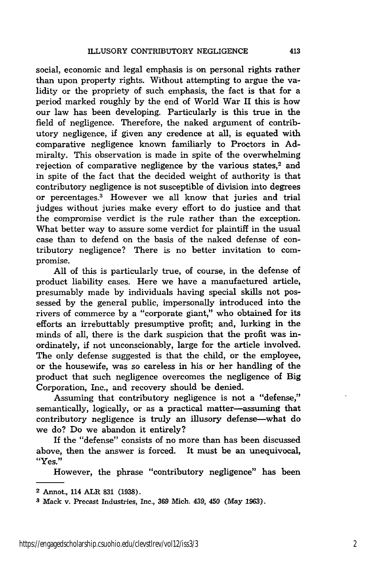social, economic and legal emphasis is on personal rights rather than upon property rights. Without attempting to argue the validity or the propriety of such emphasis, the fact is that for a period marked roughly by the end of World War II this is how our law has been developing. Particularly is this true in the field of negligence. Therefore, the naked argument of contributory negligence, if given any credence at all, is equated with comparative negligence known familiarly to Proctors in Admiralty. This observation is made in spite of the overwhelming rejection of comparative negligence by the various states, $2$  and in spite of the fact that the decided weight of authority is that contributory negligence is not susceptible of division into degrees or percentages.<sup>3</sup> However we all know that juries and trial judges without juries make every effort to do justice and that the compromise verdict is the rule rather than the exception. What better way to assure some verdict for plaintiff in the usual case than to defend on the basis of the naked defense of contributory negligence? There is no better invitation to compromise.

All of this is particularly true, of course, in the defense of product liability cases. Here we have a manufactured article, presumably made by individuals having special skills not possessed by the general public, impersonally introduced into the rivers of commerce by a "corporate giant," who obtained for its efforts an irrebuttably presumptive profit; and, lurking in the minds of all, there is the dark suspicion that the profit was inordinately, if not unconscionably, large for the article involved. The only defense suggested is that the child, or the employee, or the housewife, was so careless in his or her handling of the product that such negligence overcomes the negligence of Big Corporation, Inc., and recovery should be denied.

Assuming that contributory negligence is not a "defense," semantically, logically, or as a practical matter-assuming that contributory negligence is truly an illusory defense—what do we do? Do we abandon it entirely?

If the "defense" consists of no more than has been discussed above, then the answer is forced. It must be an unequivocal, "Yes."

However, the phrase "contributory negligence" has been

**<sup>2</sup>** Annot., 114 ALR 831 (1938).

**<sup>3</sup>** Mack v. Precast Industries, Inc., **369** Mich. 439, 450 (May **1963).**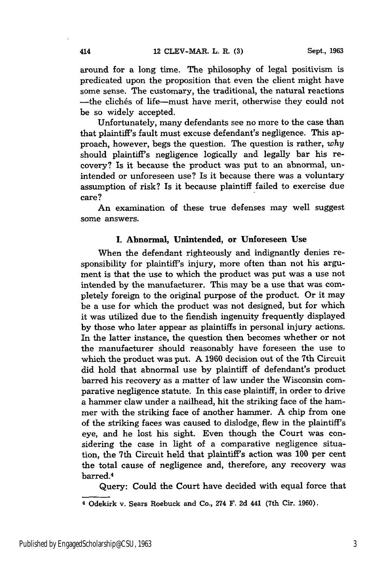around for a long time. The philosophy of legal positivism is predicated upon the proposition that even the client might have some sense. The customary, the traditional, the natural reactions -the clichés of life-must have merit, otherwise they could not be so widely accepted.

Unfortunately, many defendants see no more to the case than that plaintiff's fault must excuse defendant's negligence. This approach, however, begs the question. The question is rather, *why* should plaintiff's negligence logically and legally bar his recovery? Is it because the product was put to an abnormal, unintended or unforeseen use? Is it because there was a voluntary assumption of risk? Is it because plaintiff failed to exercise due care?

An examination of these true defenses may well suggest some answers.

#### **I. Abnormal, Unintended, or Unforeseen Use**

When the defendant righteously and indignantly denies responsibility for plaintiff's injury, more often than not his argument is that the use to which the product was put was a use not intended by the manufacturer. This may be a use that was completely foreign to the original purpose of the product. Or it may be a use for which the product was not designed, but for which it was utilized due to the fiendish ingenuity frequently displayed by those who later appear as plaintiffs in personal injury actions. In the latter instance, the question then becomes whether or not the manufacturer should reasonably have foreseen the use to which the product was put. A 1960 decision out of the 7th Circuit did hold that abnormal use by plaintiff of defendant's product barred his recovery as a matter of law under the Wisconsin comparative negligence statute. In this case plaintiff, in order to drive a hammer claw under a nailhead, hit the striking face of the hammer with the striking face of another hammer. A chip from one of the striking faces was caused to dislodge, flew in the plaintiff's eye, and he lost his sight. Even though the Court was considering the case in light of a comparative negligence situation, the 7th Circuit held that plaintiff's action was **100** per cent the total cause of negligence and, therefore, any recovery was barred.<sup>4</sup>

Query: Could the Court have decided with equal force that

**4** Odekirk v. Sears Roebuck and Co., 274 F. 2d 441 (7th Cir. 1960).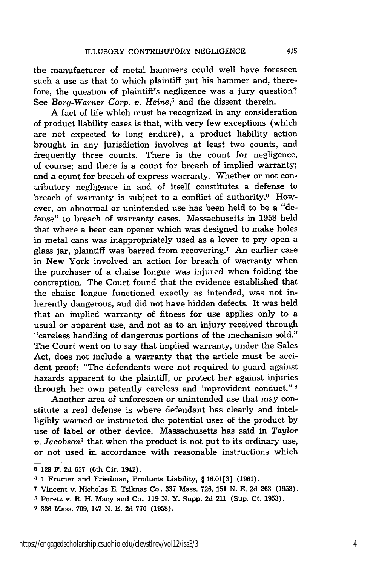the manufacturer of metal hammers could well have foreseen such a use as that to which plaintiff put his hammer and, therefore, the question of plaintiff's negligence was a jury question? See *Borg-Warner Corp. v. Heine,5* and the dissent therein.

A fact of life which must be recognized in any consideration of product liability cases is that, with very few exceptions (which are not expected to long endure), a product liability action brought in any jurisdiction involves at least two counts, and frequently three counts. There is the count for negligence, of course; and there is a count for breach of implied warranty; and a count for breach of express warranty. Whether or not contributory negligence in and of itself constitutes a defense to breach of warranty is subject to a conflict of authority.<sup>6</sup> However, an abnormal or unintended use has been held to be a "defense" to breach of warranty cases. Massachusetts in 1958 held that where a beer can opener which was designed to make holes in metal cans was inappropriately used as a lever to pry open a glass jar, plaintiff was barred from recovering.7 An earlier case in New York involved an action for breach of warranty when the purchaser of a chaise longue was injured when folding the contraption. The Court found that the evidence established that the chaise longue functioned exactly as intended, was not inherently dangerous, and did not have hidden defects. It was held that an implied warranty of fitness for use applies only to a usual or apparent use, and not as to an injury received through "careless handling of dangerous portions of the mechanism sold." The Court went on to say that implied warranty, under the Sales Act, does not include a warranty that the article must be accident proof: "The defendants were not required to guard against hazards apparent to the plaintiff, or protect her against injuries through her own patently careless and improvident conduct." **<sup>8</sup>**

Another area of unforeseen or unintended use that may constitute a real defense is where defendant has clearly and intelligibly warned or instructed the potential user of the product by use of label or other device. Massachusetts has said in *Taylor v. Jacobson9* that when the product is not put to its ordinary use, or not used in accordance with reasonable instructions which

**<sup>5 128</sup>** F. **2d** 657 (6th Cir. 1942).

**<sup>6</sup>** 1 Frumer and Friedman, Products Liability, § 16.01[3] (1961).

**<sup>7</sup>**Vincent v. Nicholas E. Tsiknas Co., 337 Mass. 726, 151 **N.** E. 2d 263 (1958).

**<sup>8</sup>** Poretz v. R. H. Macy and Co., **119 N.** Y. Supp. **2d** 211 (Sup. Ct. 1953).

**<sup>9</sup>** 336 Mass. 709, 147 N. E. 2d 770 (1958).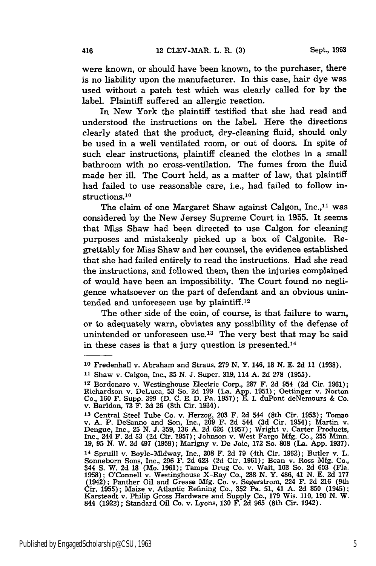were known, or should have been known, to the purchaser, there is no liability upon the manufacturer. In this case, hair dye was used without a patch test which was clearly called for **by** the label. Plaintiff suffered an allergic reaction.

In New York the plaintiff testified that she had read and understood the instructions on the label. Here the directions clearly stated that the product, dry-cleaning fluid, should only be used in a well ventilated room, or out of doors. In spite of such clear instructions, plaintiff cleaned the clothes in a small bathroom with no cross-ventilation. The fumes from the fluid made her ill. The Court held, as a matter of law, that plaintiff had failed to use reasonable care, i.e., had failed to follow instructions.10

The claim of one Margaret Shaw against Calgon, Inc.,<sup>11</sup> was considered **by** the New Jersey Supreme Court in **1955.** It seems that Miss Shaw had been directed to use Calgon for cleaning purposes and mistakenly picked up a box of Calgonite. Regrettably for Miss Shaw and her counsel, the evidence established that she had failed entirely to read the instructions. Had she read the instructions, and followed them, then the injuries complained of would have been an impossibility. The Court found no negligence whatsoever on the part of defendant and an obvious unintended and unforeseen use by plaintiff.12

The other side of the coin, of course, is that failure to warn, or to adequately warn, obviates any possibility of the defense of unintended or unforeseen use.<sup>13</sup> The very best that may be said in these cases is that a jury question is presented.<sup>14</sup>

**<sup>10</sup>** Fredenhall v. Abraham and Straus, **279 N.** Y. 146, **18 N. E. 2d 11 (1938).**

**<sup>11</sup>**Shaw v. Calgon, Inc., **35 N. J.** Super. **319,** 114 **A. 2d 278 (1955).**

**<sup>12</sup>** Bordonaro v. Westinghouse Electric Corp., **287** F. **2d** 954 **(2d** Cir. **1961);** Richardson v. DeLuca, **53** So. **2d 199** (La. **App. 1951);** Oettinger v. Norton **Co., 160** F. Supp. **399 (D. C. E. D.** Pa. **1957); E.** I. duPont deNemours **& Co.** v. Baridon, 73 F. **2d** 26 (8th Cir. 1934).

**<sup>13</sup>**Central Steel Tube Co. v. Herzog, **203** F. **2d** 544 (8th Cir. **1953);** Tomao v. **A.** P. DeSanno and Son, Inc., **209** F. **2d** 544 **(3d** Cir. 1954); Martin v. Dengue, Inc., 25 N. J. 359, 136 A. 2d 626 (1957); Wright v. Carter Products, Inc., 244 F. 2d 53 (2d Cir. 1957); Johnson v. West Fargo Mfg. Co., 255 Minn.<br>19, 95 N. W. 2d 497 (1959); Marigny v. De Joie, 172 So. 808 (La. App **<sup>14</sup>**Spruill v. Boyle-Midway, Inc., 308 F. 2d 79 (4th Cir. 1962); Butler v. L.

Sonneborn Sons, Inc., 296 F. 2d 623 (2d Cir. 1961); Bean v. Ross Mfg. Co., 344 **S.** W. 2d **18** (Mo. 1961); Tampa Drug Co. v. Wait, 103 So. 2d 603 (Fla. 1958); O'Connell v. Westinghouse X-Ray Co., **288 N.** Y. 486, 41 N. E. 2d 177 (1942); Panther Oil and Grease Mfg. Co. v. Segerstrom, 224 F. 2d 216 (9th Cir. 1955); Maize v. Atlantic Refining Co., 352 Pa. 51, 41 A. 2d 850 (1945);<br>Karsteadt v. Philip Gross Hardware and Supply Co., 179 Wis. 110, 190 N. W.<br>844 (1922); Standard Oil Co. v. Lyons, 130 F. 2d 965 (8th Cir. 1942).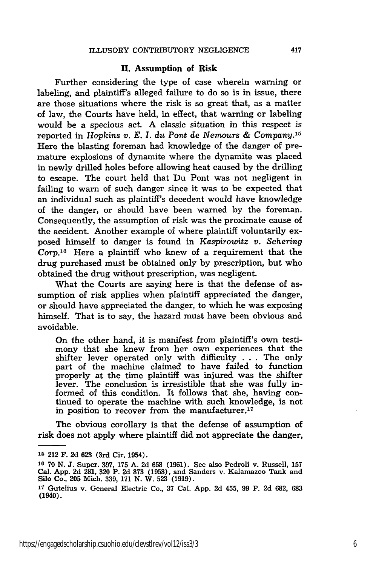#### **II.** Assumption of Risk

Further considering the type of case wherein warning or labeling, and plaintiff's alleged failure to do so is in issue, there are those situations where the risk is so great that, as a matter of law, the Courts have held, in effect, that warning or labeling would be a specious act. **A** classic situation in this respect is reported in *Hopkins v. E. I. du Pont de Nemours & Company.15* Here the blasting foreman had knowledge of the danger of premature explosions of dynamite where the dynamite was placed in newly drilled holes before allowing heat caused by the drilling to escape. The court held that Du Pont was not negligent in failing to warn of such danger since it was to be expected that an individual such as plaintiff's decedent would have knowledge of the danger, or should have been warned by the foreman. Consequently, the assumption of risk was the proximate cause of the accident. Another example of where plaintiff voluntarily exposed himself to danger is found in *Kaspirowitz v. Schering* Corp.16 Here a plaintiff who knew of a requirement that the drug purchased must be obtained only by prescription, but who obtained the drug without prescription, was negligent.

What the Courts are saying here is that the defense of assumption of risk applies when plaintiff appreciated the danger, or should have appreciated the danger, to which he was exposing himself. That is to say, the hazard must have been obvious and avoidable.

On the other hand, it is manifest from plaintiff's own testimony that she knew from her own experiences that the shifter lever operated only with difficulty ... The only part of the machine claimed to have failed to function properly at the time plaintiff was injured was the shifter lever. The conclusion is irresistible that she was fully informed of this condition. It follows that she, having continued to operate the machine with such knowledge, is not in position to recover from the manufacturer.<sup>17</sup>

The obvious corollary is that the defense of assumption of risk does not apply where plaintiff did not appreciate the danger,

**<sup>15</sup>**212 F. **2d 623** (3rd Cir. 1954).

**<sup>16 70</sup> N. J.** Super. **397, 175 A. 2d 658 (1961).** See also Pedroli v. Russell, **157** Cal. **App. 2d 281, 320** P. **2d 873 (1958),** and Sanders v. Kalamazoo Tank and Silo Co., **205** Mich. **339, 171 N.** W. **523 (1919).**

**<sup>&#</sup>x27;7** Gutelius v. General Electric Co., **37** Cal. **App. 2d** 455, **99** P. **2d 682, 683** (1940).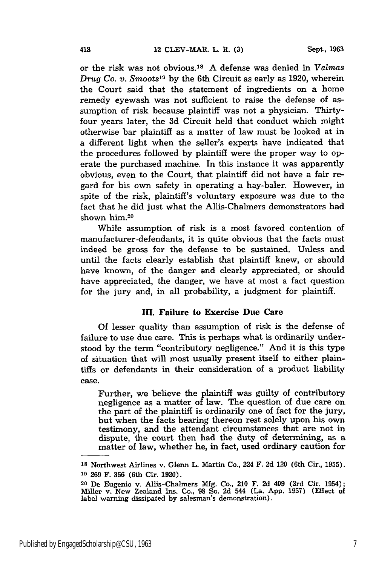or the risk was not obvious.<sup>18</sup> A defense was denied in *Valmas Drug Co. v. Smoots'9* by the 6th Circuit as early as 1920, wherein the Court said that the statement of ingredients on a home remedy eyewash was not sufficient to raise the defense of assumption of risk because plaintiff was not a physician. Thirtyfour years later, the 3d Circuit held that conduct which might otherwise bar plaintiff as a matter of law must be looked at in a different light when the seller's experts have indicated that the procedures followed by plaintiff were the proper way to operate the purchased machine. In this instance it was apparently obvious, even to the Court, that plaintiff did not have a fair regard for his own safety in operating a hay-baler. However, in spite of the risk, plaintiff's voluntary exposure was due to the fact that he did just what the Allis-Chalmers demonstrators had shown him.<sup>20</sup>

While assumption of risk is a most favored contention of manufacturer-defendants, it is quite obvious that the facts must indeed be gross for the defense to be sustained. Unless and until the facts clearly establish that plaintiff knew, or should have known, of the danger and clearly appreciated, or should have appreciated, the danger, we have at most a fact question for the jury and, in all probability, a judgment for plaintiff.

#### **III.** Failure to Exercise Due Care

Of lesser quality than assumption of risk is the defense of failure to use due care. This is perhaps what is ordinarily understood by the term "contributory negligence." And it is this type of situation that will most usually present itself to either plaintiffs or defendants in their consideration of a product liability case.

Further, we believe the plaintiff was guilty of contributory negligence as a matter of law. The question of due care on the part of the plaintiff is ordinarily one of fact for the jury, but when the facts bearing thereon rest solely upon his own testimony, and the attendant circumstances that are not in dispute, the court then had the duty of determining, as a matter of law, whether he, in fact, used ordinary caution for

**<sup>18</sup>**Northwest Airlines v. Glenn L. Martin Co., 224 F. 2d 120 (6th Cir., 1955). **<sup>19</sup>269** F. **356** (6th Cir. **1920).**

**<sup>20</sup>**De Eugenio v. Allis-Chalmers **Mfg.** Co., 210 F. **2d** 409 (3rd Cir. 1954); Miller v. New Zealand Ins. Co., **98** So. **2d** 544 (La. **App. 1957)** (Effect of label warning dissipated **by** salesman's demonstration).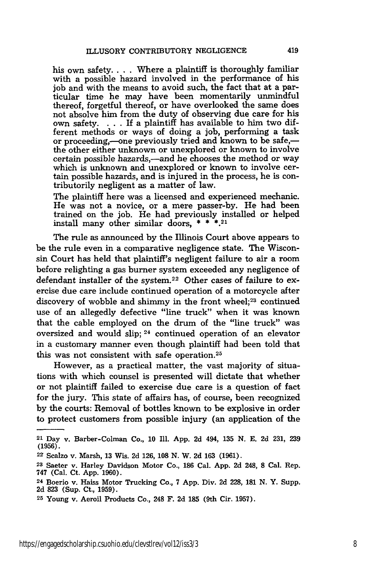his own safety.. . . Where a plaintiff is thoroughly familiar with a possible hazard involved in the performance of his **job** and with the means to avoid such, the fact that at a particular time he may have been momentarily unmindful thereof, forgetful thereof, or have overlooked the same does not absolve him from the duty of observing due care for his own safety. . **.** . If a plaintiff has available to him two different methods or ways of doing a **job,** performing a task or proceeding,-one previously tried and known to be safe,the other either unknown or unexplored or known to involve certain possible hazards,-and he chooses the method or way which is unknown and unexplored or known to involve certain possible hazards, and is injured in the process, he is contributorily negligent as a matter of law.

The plaintiff here was a licensed and experienced mechanic. He was not a novice, or a mere passer-by. He had been trained on the **job.** He had previously installed or helped install many other similar doors, **\* \*** \*.21

The rule as announced **by** the Illinois Court above appears to be the rule even in a comparative negligence state. The Wisconsin Court has held that plaintiff's negligent failure to air a room before relighting a gas burner system exceeded any negligence of defendant installer of the system.<sup>22</sup> Other cases of failure to exercise due care include continued operation of a motorcycle after discovery of wobble and shimmy in the front wheel;<sup>23</sup> continued use of an allegedly defective "line truck" when it was known that the cable employed on the drum of the "line truck" was oversized and would **slip; 24** continued operation of an elevator in a customary manner even though plaintiff had been told that this was not consistent with safe operation.25

However, as a practical matter, the vast majority of situations with which counsel is presented will dictate that whether or not plaintiff failed to exercise due care is a question of fact for the jury. This state of affairs has, of course, been recognized by the courts: Removal of bottles known to be explosive in order to protect customers from possible injury (an application of the

**<sup>21</sup>**Day v. Barber-Colman Co., **10** Ill. **App. 2d** 494, **135 N. E. 2d** 231, **239 (1956).**

**<sup>2</sup>Z** Scalzo v. Marsh, **13** Wis. **2d 126, 108 N.** W. **2d 163 (1961).**

**<sup>23</sup>**Saeter v. Harley Davidson Motor Co., **186** Cal. **App. 2d** 248, **8** Cal. Rep. **747** (Cal. Ct. **App. 1960).**

**<sup>24</sup>** Boerio v. Haiss Motor Trucking Co., **7 App.** Div. **2d 228, 181 N.** Y. Supp. **2d 823** (Sup. Ct., **1959).**

**<sup>25</sup>**Young v. Aeroil Products Co., 248 F. **2d 185** (9th Cir. **1957).**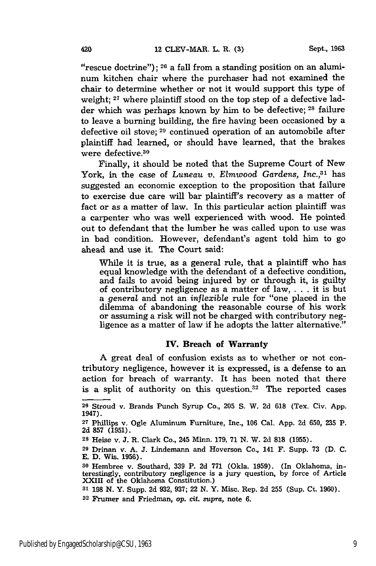"rescue doctrine"); **26** a fall from a standing position on an aluminum kitchen chair where the purchaser had not examined the chair to determine whether or not it would support this type of weight; <sup>27</sup> where plaintiff stood on the top step of a defective ladder which was perhaps known **by** him to be defective; **28** failure to leave a burning building, the fire having been occasioned **by** a defective oil stove; **29** continued operation of an automobile after plaintiff had learned, or should have learned, that the brakes were defective.<sup>30</sup>

Finally, it should be noted that the Supreme Court of New York, in the case of *Luneau v. Elmwood Gardens, Inc.,31* has suggested an economic exception to the proposition that failure to exercise due care will bar plaintiff's recovery as a matter of fact or as a matter of law. In this particular action plaintiff was a carpenter who was well experienced with wood. He pointed out to defendant that the lumber he was called upon to use was in bad condition. However, defendant's agent told him to go ahead and use it. The Court said:

While it is true, as a general rule, that a plaintiff who has equal knowledge with the defendant of a defective condition, and fails to avoid being injured by or through it, is guilty of contributory negligence as a matter of law, . . . it is but a *general* and not an *inflexible* rule for "one placed in the dilemma of abandoning the reasonable course of his work or assuming a risk will not be charged with contributory negligence as a matter of law if he adopts the latter alternative."

#### **IV.** Breach of Warranty

A great deal of confusion exists as to whether or not contributory negligence, however it is expressed, is a defense to an action for breach of warranty. It has been noted that there is a split of authority on this question.<sup>32</sup> The reported cases

**<sup>28</sup>**Stroud v. Brands Punch Syrup Co., **205** S. W. 2d 618 (Tex. Civ. App. 1947).

**<sup>27</sup>**Phillips v. Ogle Aluminum Furniture, Inc., **106** Cal. App. **2d 650, 235** P. **2d 857** (1951).

**<sup>2</sup>S** Heise v. J. R. Clark Co., 245 Minn. 179, 71 **N.** W. 2d **818** (1955).

**<sup>29</sup>**Drinan v. A. J. Lindemann and Hoverson Co., 141 F. Supp. 73 (D. **C.** E. D. Wis. 1956).

**<sup>30</sup>** Hembree v. Southard, 339 P. 2d 771 (Okla. 1959). (In Oklahoma, interestingly, contributory negligence is a jury question, by force of Article XXIII of the Oklahoma Constitution.)

**<sup>31 198</sup>** N. Y. Supp. 2d 932, 937; 22 N. Y. Misc. Rep. **2d 255** (Sup. Ct. 1960).

**<sup>32</sup>**Frumer and Friedman, *op.* cit. supra, note **6.**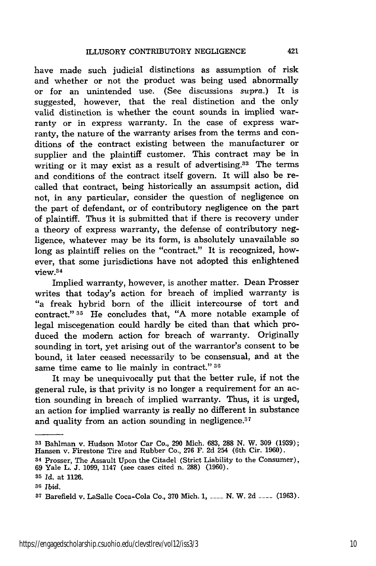have made such judicial distinctions as assumption of risk and whether or not the product was being used abnormally or for an unintended use. (See discussions supra.) It is suggested, however, that the real distinction and the only valid distinction is whether the count sounds in implied warranty or in express warranty. In the case of express warranty, the nature of the warranty arises from the terms and conditions of the contract existing between the manufacturer or supplier and the plaintiff customer. This contract may be in writing or it may exist as a result of advertising.<sup>33</sup> The terms and conditions of the contract itself govern. It will also be recalled that contract, being historically an assumpsit action, did not, in any particular, consider the question of negligence on the part of defendant, or of contributory negligence on the part of plaintiff. Thus it is submitted that if there is recovery under a theory of express warranty, the defense of contributory negligence, whatever may be its form, is absolutely unavailable so long as plaintiff relies on the "contract." It is recognized, however, that some jurisdictions have not adopted this enlightened view.<sup>34</sup>

Implied warranty, however, is another matter. Dean Prosser writes that today's action for breach of implied warranty is "a freak hybrid born of the illicit intercourse of tort and contract." **35** He concludes that, "A more notable example of legal miscegenation could hardly be cited than that which produced the modern action for breach of warranty. Originally sounding in tort, yet arising out of the warrantor's consent to be bound, it later ceased necessarily to be consensual, and at the same time came to lie mainly in contract." **36**

It may be unequivocally put that the better rule, if not the general rule, is that privity is no longer a requirement for an action sounding in breach of implied warranty. Thus, it is urged, an action for implied warranty is really no different in substance and quality from an action sounding in negligence.<sup>37</sup>

**<sup>33</sup>**Baliman v. Hudson Motor Car Co., **290** Mich. 683, **288** N. W. 309 (1939); Hansen v. Firestone Tire and Rubber Co., 276 F. 2d 254 (6th Cir. 1960).

<sup>&</sup>lt;sup>34</sup> Prosser, The Assault Upon the Citadel (Strict Liability to the Consumer) 69 Yale L. J. 1099, 1147 (see cases cited n. **288)** (1960).

**<sup>35</sup>**Id. at 1126.

**<sup>36</sup>***Ibid.*

**<sup>37</sup>** Barefield v. LaSalle Coca-Cola Co., 370 Mich. 1, *\_\_\_\_* **N.** W. 2d **---** (1963).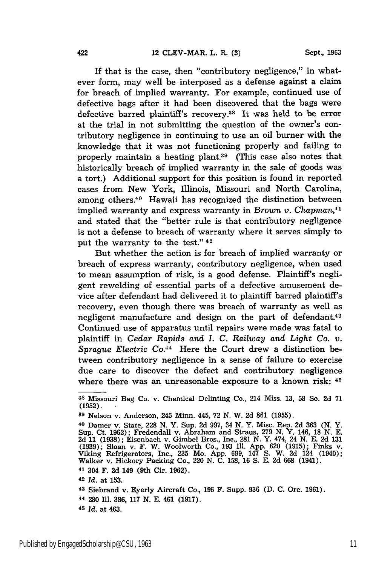If that is the case, then "contributory negligence," in whatever form, may well be interposed as a defense against a claim for breach of implied warranty. For example, continued use of defective bags after it had been discovered that the bags were defective barred plaintiff's recovery.38 It was held to be error at the trial in not submitting the question of the owner's contributory negligence in continuing to use an oil burner with the knowledge that it was not functioning properly and failing to properly maintain a heating plant.<sup>39</sup> (This case also notes that historically breach of implied warranty in the sale of goods was a tort.) Additional support for this position is found in reported cases from New York, Illinois, Missouri and North Carolina, among others.<sup>40</sup> Hawaii has recognized the distinction between implied warranty and express warranty in *Brown v. Chapman,4 1* and stated that the "better rule is that contributory negligence is not a defense to breach of warranty where it serves simply to put the warranty to the test." 42

But whether the action is for breach of implied warranty or breach of express warranty, contributory negligence, when used to mean assumption of risk, is a good defense. Plaintiff's negligent rewelding of essential parts of a defective amusement device after defendant had delivered it to plaintiff barred plaintiff's recovery, even though there was breach of warranty as well as negligent manufacture and design on the part of defendant.<sup>43</sup> Continued use of apparatus until repairs were made was fatal to plaintiff in *Cedar Rapids and I. C. Railway and Light Co. v. Sprague Electric Co.44* Here the Court drew a distinction between contributory negligence in a sense of failure to exercise due care to discover the defect and contributory negligence where there was an unreasonable exposure to a known risk: 45

**<sup>38</sup>** Missouri Bag Co. v. Chemical Delinting Co., 214 Miss. 13, **58** So. 2d 71 (1952).

**<sup>39</sup>**Nelson v. Anderson, 245 Minn. 445, 72 N. W. 2d 861 (1955).

**<sup>40</sup>** Darner v. State, 228 **N.** Y. Sup. 2d 997, 34 **N.** Y. Misc. Rep. 2d 363 (N. Y. Sup. Ct. 1962); Fredendall v. Abraham and Straus, 279 N. Y. 146, 18 N. E.<br>2d 11 (1938); Eisenbach v. Gimbel Bros., Inc., 281 N. Y. 474, 24 N. E. 2d 131<br>(1939); Sloan v. F. W. Woolworth Co., 193 Ill. App. 620 (1915); Finks Walker v. Hickory Packing Co., 220 **N. C. 158, 16 S.** E. 2d **668** (1941).

<sup>41 304</sup> F. 2d 149 (9th Cir. 1962).

**<sup>42</sup>** *Id.* at 153.

**<sup>43</sup>**Siebrand v. Eyerly Aircraft Co., 196 F. Supp. 936 (D. C. Ore. 1961).

<sup>44</sup> **280** Ill. **386,** 117 **N.** E. 461 (1917).

**<sup>45</sup>***Id.* at 463.